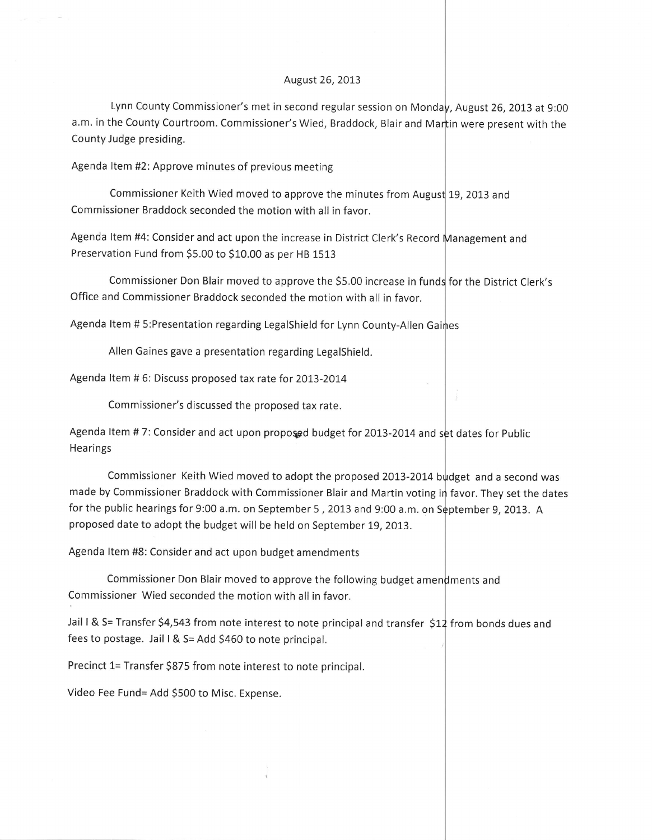## August 26, 2013

Lynn County Commissioner's met in second regular session on Monda<mark>y, August 26, 2013 at 9:00</mark> a.m. in the County Courtroom. Commissioner's Wied, Braddock, Blair and Mar<mark>tin were present with the</mark> County Judge presiding.

Agenda ltem #2: Approve minutes of previous meeting

Commissioner Keith Wied moved to approve the minutes from Augus $\nmid$  19, 2013 and Commissioner Braddock seconded the motion with all in favor.

Agenda ltem #4: Consider and act upon the increase in District Clerk's Record ment and Preservation Fund from \$5.00 to \$10.00 as per HB 1513

Office and Commissioner Braddock seconded the motion with all in favor. Commissioner Don Blair moved to approve the \$5.00 increase in funds for the District Clerk's

Agenda Item # 5:Presentation regarding LegalShield for Lynn County-Allen Gaines

Allen Gaines gave a presentation regarding Legalshield.

Agenda Item # 6: Discuss proposed tax rate for 2013-2014

Commissioner's discussed the proposed tax rate.

Agenda Item # 7: Consider and act upon proposed budget for 2013-2014 and set dates for Public **Hearings** 

Commissioner Keith Wied moved to adopt the proposed 2013-2014 budget and a second was made by Commissioner Braddock with Commissioner Blair and Martin voting in favor. They set the dates for the public hearings for 9:00 a.m. on September 5 , 2013 and 9:00 a.m. on S $\stackrel{1}{\bullet}$ ptember 9, 2013.  $\,$  A proposed date to adopt the budget will be held on September 19,2013.

Agenda ltem #8: Consider and act upon budget amendments

Commissioner Don Blair moved to approve the following budget amendments and Commissioner Wied seconded the motion with all in favor.

Jail I & S= Transfer \$4,543 from note interest to note principal and transfer  $\,$ \$12 from bonds dues and fees to postage. Jail I & S= Add \$460 to note principal.

Precinct 1= Transfer \$875 from note interest to note principal.

Video Fee Fund= Add 5500 to Misc. Expense.